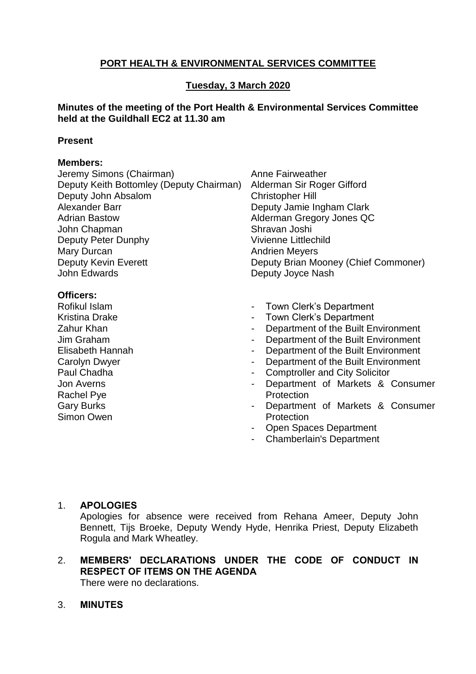# **PORT HEALTH & ENVIRONMENTAL SERVICES COMMITTEE**

# **Tuesday, 3 March 2020**

#### **Minutes of the meeting of the Port Health & Environmental Services Committee held at the Guildhall EC2 at 11.30 am**

#### **Present**

# **Members:**

| Jeremy Simons (Chairman)                 | Anne Fairweather                                                    |
|------------------------------------------|---------------------------------------------------------------------|
| Deputy Keith Bottomley (Deputy Chairman) | Alderman Sir Roger Gifford                                          |
| Deputy John Absalom                      | <b>Christopher Hill</b>                                             |
| Alexander Barr                           | Deputy Jamie Ingham Clark                                           |
| <b>Adrian Bastow</b>                     | Alderman Gregory Jones QC                                           |
| John Chapman                             | Shravan Joshi                                                       |
| Deputy Peter Dunphy                      | Vivienne Littlechild                                                |
| Mary Durcan                              | <b>Andrien Meyers</b>                                               |
| <b>Deputy Kevin Everett</b>              | Deputy Brian Mooney (Chief Commoner)                                |
| <b>John Edwards</b>                      | Deputy Joyce Nash                                                   |
| Officers:                                |                                                                     |
| Rofikul Islam                            | Town Clerk's Department                                             |
| <b>Kristina Drake</b>                    | Town Clerk's Department<br>-                                        |
| Zahur Khan                               | Department of the Built Environment                                 |
| Jim Graham                               | Department of the Built Environment<br>$\qquad \qquad \blacksquare$ |
| Elisabeth Hannah                         | Department of the Built Environment<br>-                            |
| Carolyn Dwyer                            | Department of the Built Environment<br>-                            |
| Paul Chadha                              | <b>Comptroller and City Solicitor</b><br>۰                          |
| <b>Jon Averns</b>                        | Department of Markets & Consumer<br>-                               |
| Rachel Pye                               | Protection                                                          |
| <b>Gary Burks</b>                        | Department of Markets & Consumer<br>۰                               |
| Simon Owen                               | Protection                                                          |
|                                          | Onen Spaces Department                                              |

- en Spaces Department
- Chamberlain's Department

### 1. **APOLOGIES**

Apologies for absence were received from Rehana Ameer, Deputy John Bennett, Tijs Broeke, Deputy Wendy Hyde, Henrika Priest, Deputy Elizabeth Rogula and Mark Wheatley.

# 2. **MEMBERS' DECLARATIONS UNDER THE CODE OF CONDUCT IN RESPECT OF ITEMS ON THE AGENDA**

There were no declarations.

### 3. **MINUTES**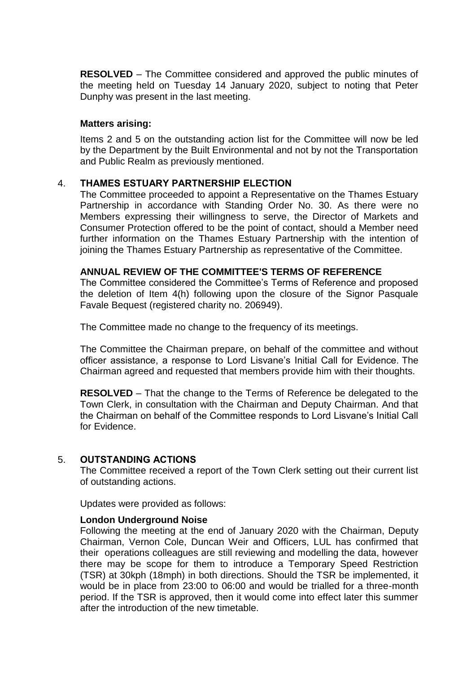**RESOLVED** – The Committee considered and approved the public minutes of the meeting held on Tuesday 14 January 2020, subject to noting that Peter Dunphy was present in the last meeting.

#### **Matters arising:**

Items 2 and 5 on the outstanding action list for the Committee will now be led by the Department by the Built Environmental and not by not the Transportation and Public Realm as previously mentioned.

### 4. **THAMES ESTUARY PARTNERSHIP ELECTION**

The Committee proceeded to appoint a Representative on the Thames Estuary Partnership in accordance with Standing Order No. 30. As there were no Members expressing their willingness to serve, the Director of Markets and Consumer Protection offered to be the point of contact, should a Member need further information on the Thames Estuary Partnership with the intention of joining the Thames Estuary Partnership as representative of the Committee.

#### **ANNUAL REVIEW OF THE COMMITTEE'S TERMS OF REFERENCE**

The Committee considered the Committee's Terms of Reference and proposed the deletion of Item 4(h) following upon the closure of the Signor Pasquale Favale Bequest (registered charity no. 206949).

The Committee made no change to the frequency of its meetings.

The Committee the Chairman prepare, on behalf of the committee and without officer assistance, a response to Lord Lisvane's Initial Call for Evidence. The Chairman agreed and requested that members provide him with their thoughts.

**RESOLVED** – That the change to the Terms of Reference be delegated to the Town Clerk, in consultation with the Chairman and Deputy Chairman. And that the Chairman on behalf of the Committee responds to Lord Lisvane's Initial Call for Evidence.

#### 5. **OUTSTANDING ACTIONS**

The Committee received a report of the Town Clerk setting out their current list of outstanding actions.

Updates were provided as follows:

#### **London Underground Noise**

Following the meeting at the end of January 2020 with the Chairman, Deputy Chairman, Vernon Cole, Duncan Weir and Officers, LUL has confirmed that their operations colleagues are still reviewing and modelling the data, however there may be scope for them to introduce a Temporary Speed Restriction (TSR) at 30kph (18mph) in both directions. Should the TSR be implemented, it would be in place from 23:00 to 06:00 and would be trialled for a three-month period. If the TSR is approved, then it would come into effect later this summer after the introduction of the new timetable.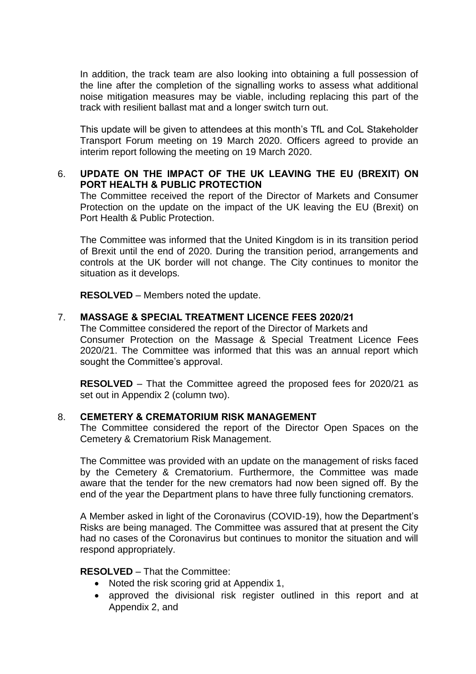In addition, the track team are also looking into obtaining a full possession of the line after the completion of the signalling works to assess what additional noise mitigation measures may be viable, including replacing this part of the track with resilient ballast mat and a longer switch turn out.

This update will be given to attendees at this month's TfL and CoL Stakeholder Transport Forum meeting on 19 March 2020. Officers agreed to provide an interim report following the meeting on 19 March 2020.

# 6. **UPDATE ON THE IMPACT OF THE UK LEAVING THE EU (BREXIT) ON PORT HEALTH & PUBLIC PROTECTION**

The Committee received the report of the Director of Markets and Consumer Protection on the update on the impact of the UK leaving the EU (Brexit) on Port Health & Public Protection.

The Committee was informed that the United Kingdom is in its transition period of Brexit until the end of 2020. During the transition period, arrangements and controls at the UK border will not change. The City continues to monitor the situation as it develops.

**RESOLVED** – Members noted the update.

### 7. **MASSAGE & SPECIAL TREATMENT LICENCE FEES 2020/21**

The Committee considered the report of the Director of Markets and Consumer Protection on the Massage & Special Treatment Licence Fees 2020/21. The Committee was informed that this was an annual report which sought the Committee's approval.

**RESOLVED** – That the Committee agreed the proposed fees for 2020/21 as set out in Appendix 2 (column two).

### 8. **CEMETERY & CREMATORIUM RISK MANAGEMENT**

The Committee considered the report of the Director Open Spaces on the Cemetery & Crematorium Risk Management.

The Committee was provided with an update on the management of risks faced by the Cemetery & Crematorium. Furthermore, the Committee was made aware that the tender for the new cremators had now been signed off. By the end of the year the Department plans to have three fully functioning cremators.

A Member asked in light of the Coronavirus (COVID-19), how the Department's Risks are being managed. The Committee was assured that at present the City had no cases of the Coronavirus but continues to monitor the situation and will respond appropriately.

#### **RESOLVED** – That the Committee:

- Noted the risk scoring grid at Appendix 1,
- approved the divisional risk register outlined in this report and at Appendix 2, and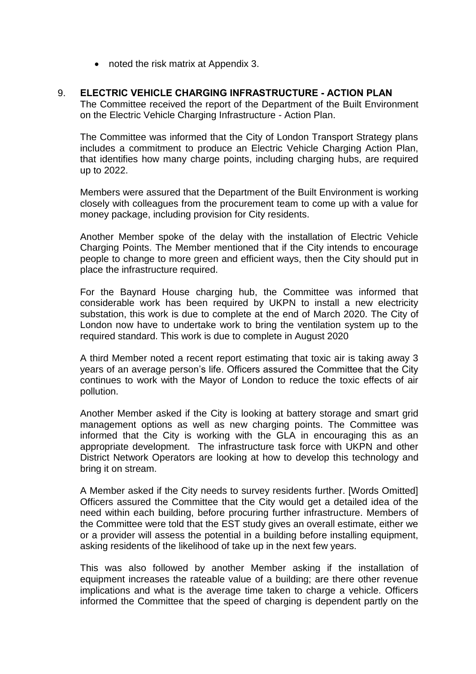• noted the risk matrix at Appendix 3.

## 9. **ELECTRIC VEHICLE CHARGING INFRASTRUCTURE - ACTION PLAN**

The Committee received the report of the Department of the Built Environment on the Electric Vehicle Charging Infrastructure - Action Plan.

The Committee was informed that the City of London Transport Strategy plans includes a commitment to produce an Electric Vehicle Charging Action Plan, that identifies how many charge points, including charging hubs, are required up to 2022.

Members were assured that the Department of the Built Environment is working closely with colleagues from the procurement team to come up with a value for money package, including provision for City residents.

Another Member spoke of the delay with the installation of Electric Vehicle Charging Points. The Member mentioned that if the City intends to encourage people to change to more green and efficient ways, then the City should put in place the infrastructure required.

For the Baynard House charging hub, the Committee was informed that considerable work has been required by UKPN to install a new electricity substation, this work is due to complete at the end of March 2020. The City of London now have to undertake work to bring the ventilation system up to the required standard. This work is due to complete in August 2020

A third Member noted a recent report estimating that toxic air is taking away 3 years of an average person's life. Officers assured the Committee that the City continues to work with the Mayor of London to reduce the toxic effects of air pollution.

Another Member asked if the City is looking at battery storage and smart grid management options as well as new charging points. The Committee was informed that the City is working with the GLA in encouraging this as an appropriate development. The infrastructure task force with UKPN and other District Network Operators are looking at how to develop this technology and bring it on stream.

A Member asked if the City needs to survey residents further. [Words Omitted] Officers assured the Committee that the City would get a detailed idea of the need within each building, before procuring further infrastructure. Members of the Committee were told that the EST study gives an overall estimate, either we or a provider will assess the potential in a building before installing equipment, asking residents of the likelihood of take up in the next few years.

This was also followed by another Member asking if the installation of equipment increases the rateable value of a building; are there other revenue implications and what is the average time taken to charge a vehicle. Officers informed the Committee that the speed of charging is dependent partly on the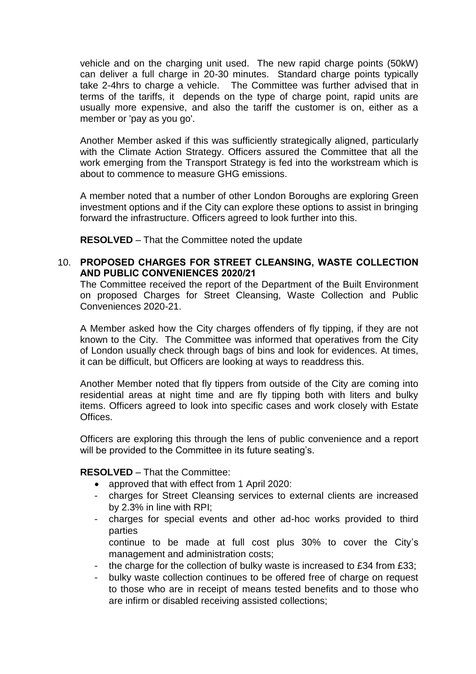vehicle and on the charging unit used. The new rapid charge points (50kW) can deliver a full charge in 20-30 minutes. Standard charge points typically take 2-4hrs to charge a vehicle. The Committee was further advised that in terms of the tariffs, it depends on the type of charge point, rapid units are usually more expensive, and also the tariff the customer is on, either as a member or 'pay as you go'.

Another Member asked if this was sufficiently strategically aligned, particularly with the Climate Action Strategy. Officers assured the Committee that all the work emerging from the Transport Strategy is fed into the workstream which is about to commence to measure GHG emissions.

A member noted that a number of other London Boroughs are exploring Green investment options and if the City can explore these options to assist in bringing forward the infrastructure. Officers agreed to look further into this.

**RESOLVED** – That the Committee noted the update

## 10. **PROPOSED CHARGES FOR STREET CLEANSING, WASTE COLLECTION AND PUBLIC CONVENIENCES 2020/21**

The Committee received the report of the Department of the Built Environment on proposed Charges for Street Cleansing, Waste Collection and Public Conveniences 2020-21.

A Member asked how the City charges offenders of fly tipping, if they are not known to the City. The Committee was informed that operatives from the City of London usually check through bags of bins and look for evidences. At times, it can be difficult, but Officers are looking at ways to readdress this.

Another Member noted that fly tippers from outside of the City are coming into residential areas at night time and are fly tipping both with liters and bulky items. Officers agreed to look into specific cases and work closely with Estate Offices.

Officers are exploring this through the lens of public convenience and a report will be provided to the Committee in its future seating's.

### **RESOLVED** – That the Committee:

- approved that with effect from 1 April 2020:
- charges for Street Cleansing services to external clients are increased by 2.3% in line with RPI;
- charges for special events and other ad-hoc works provided to third parties
- continue to be made at full cost plus 30% to cover the City's management and administration costs;
- the charge for the collection of bulky waste is increased to £34 from £33;
- bulky waste collection continues to be offered free of charge on request to those who are in receipt of means tested benefits and to those who are infirm or disabled receiving assisted collections;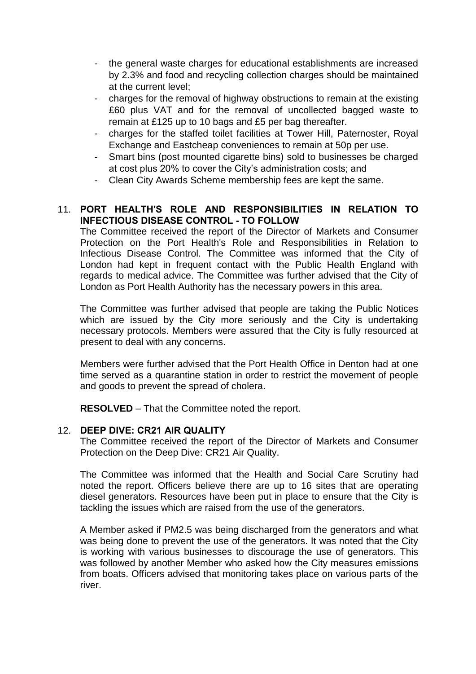- the general waste charges for educational establishments are increased by 2.3% and food and recycling collection charges should be maintained at the current level;
- charges for the removal of highway obstructions to remain at the existing £60 plus VAT and for the removal of uncollected bagged waste to remain at £125 up to 10 bags and £5 per bag thereafter.
- charges for the staffed toilet facilities at Tower Hill, Paternoster, Royal Exchange and Eastcheap conveniences to remain at 50p per use.
- Smart bins (post mounted cigarette bins) sold to businesses be charged at cost plus 20% to cover the City's administration costs; and
- Clean City Awards Scheme membership fees are kept the same.

# 11. **PORT HEALTH'S ROLE AND RESPONSIBILITIES IN RELATION TO INFECTIOUS DISEASE CONTROL - TO FOLLOW**

The Committee received the report of the Director of Markets and Consumer Protection on the Port Health's Role and Responsibilities in Relation to Infectious Disease Control. The Committee was informed that the City of London had kept in frequent contact with the Public Health England with regards to medical advice. The Committee was further advised that the City of London as Port Health Authority has the necessary powers in this area.

The Committee was further advised that people are taking the Public Notices which are issued by the City more seriously and the City is undertaking necessary protocols. Members were assured that the City is fully resourced at present to deal with any concerns.

Members were further advised that the Port Health Office in Denton had at one time served as a quarantine station in order to restrict the movement of people and goods to prevent the spread of cholera.

**RESOLVED** – That the Committee noted the report.

### 12. **DEEP DIVE: CR21 AIR QUALITY**

The Committee received the report of the Director of Markets and Consumer Protection on the Deep Dive: CR21 Air Quality.

The Committee was informed that the Health and Social Care Scrutiny had noted the report. Officers believe there are up to 16 sites that are operating diesel generators. Resources have been put in place to ensure that the City is tackling the issues which are raised from the use of the generators.

A Member asked if PM2.5 was being discharged from the generators and what was being done to prevent the use of the generators. It was noted that the City is working with various businesses to discourage the use of generators. This was followed by another Member who asked how the City measures emissions from boats. Officers advised that monitoring takes place on various parts of the river.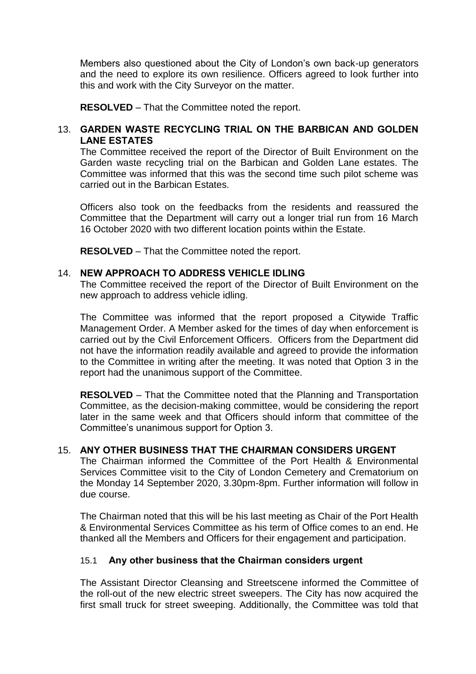Members also questioned about the City of London's own back-up generators and the need to explore its own resilience. Officers agreed to look further into this and work with the City Surveyor on the matter.

**RESOLVED** – That the Committee noted the report.

## 13. **GARDEN WASTE RECYCLING TRIAL ON THE BARBICAN AND GOLDEN LANE ESTATES**

The Committee received the report of the Director of Built Environment on the Garden waste recycling trial on the Barbican and Golden Lane estates. The Committee was informed that this was the second time such pilot scheme was carried out in the Barbican Estates.

Officers also took on the feedbacks from the residents and reassured the Committee that the Department will carry out a longer trial run from 16 March 16 October 2020 with two different location points within the Estate.

**RESOLVED** – That the Committee noted the report.

### 14. **NEW APPROACH TO ADDRESS VEHICLE IDLING**

The Committee received the report of the Director of Built Environment on the new approach to address vehicle idling.

The Committee was informed that the report proposed a Citywide Traffic Management Order. A Member asked for the times of day when enforcement is carried out by the Civil Enforcement Officers. Officers from the Department did not have the information readily available and agreed to provide the information to the Committee in writing after the meeting. It was noted that Option 3 in the report had the unanimous support of the Committee.

**RESOLVED** – That the Committee noted that the Planning and Transportation Committee, as the decision-making committee, would be considering the report later in the same week and that Officers should inform that committee of the Committee's unanimous support for Option 3.

### 15. **ANY OTHER BUSINESS THAT THE CHAIRMAN CONSIDERS URGENT**

The Chairman informed the Committee of the Port Health & Environmental Services Committee visit to the City of London Cemetery and Crematorium on the Monday 14 September 2020, 3.30pm-8pm. Further information will follow in due course.

The Chairman noted that this will be his last meeting as Chair of the Port Health & Environmental Services Committee as his term of Office comes to an end. He thanked all the Members and Officers for their engagement and participation.

### 15.1 **Any other business that the Chairman considers urgent**

The Assistant Director Cleansing and Streetscene informed the Committee of the roll-out of the new electric street sweepers. The City has now acquired the first small truck for street sweeping. Additionally, the Committee was told that